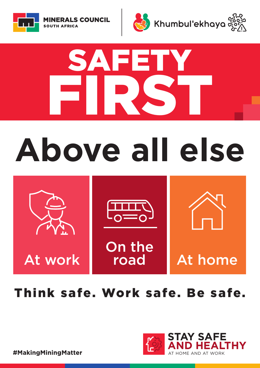At work

**#newnormal**



On the<br>road





### SAFETT FIRST **#inthistogether STAY SAFE AND HEALTHY** AT HOME AND AT WORK



At home



# **Above all else**



### Think safe. Work safe. Be safe.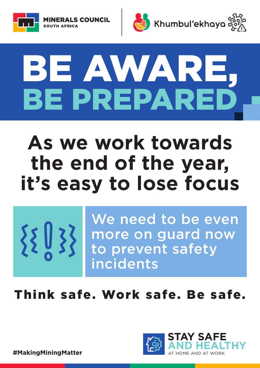



# BE AWARE, BE PREPARED

## **As we work towards the end of the year, it's easy to lose focus**





**#staysafe**

We need to be even more on guard now to prevent safety incidents

### Think safe. Work safe. Be safe.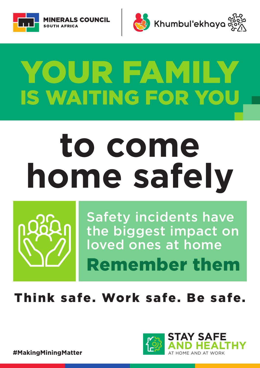



## YOUR FAMILY IS WAITING FOR YOU AT HOME AND AT WORK **#staysafe**

# **to come home safely STAY SAFE**



**#stopthespread**

**AND HEALTHY**



**#inthistogether** Safety incidents have the biggest impact on loved ones at home Remember them

### Think safe. Work safe. Be safe.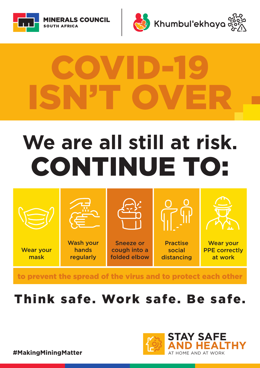# **We are all still at risk.**  CONTINUE TO:





# ISN'T OVER COVID-19



**#inthistogether**



to prevent the spread of the virus and to protect each other

### Think safe. Work safe. Be safe.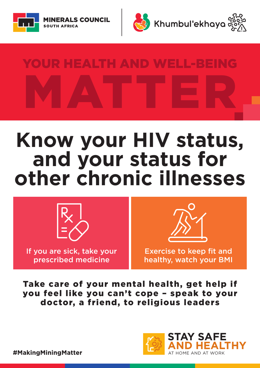## **Know your HIV status, and your status for other chronic illnesses**



### Take care of your mental health, get help if you feel like you can't cope – speak to your doctor, a friend, to religious leaders

#### #MakingMiningMatter

If you are sick, take your prescribed medicine

Exercise to keep fit and healthy, watch your BMI





# YOUR HEALTH AND WELL-BEING MATTER

**#inthistogether**